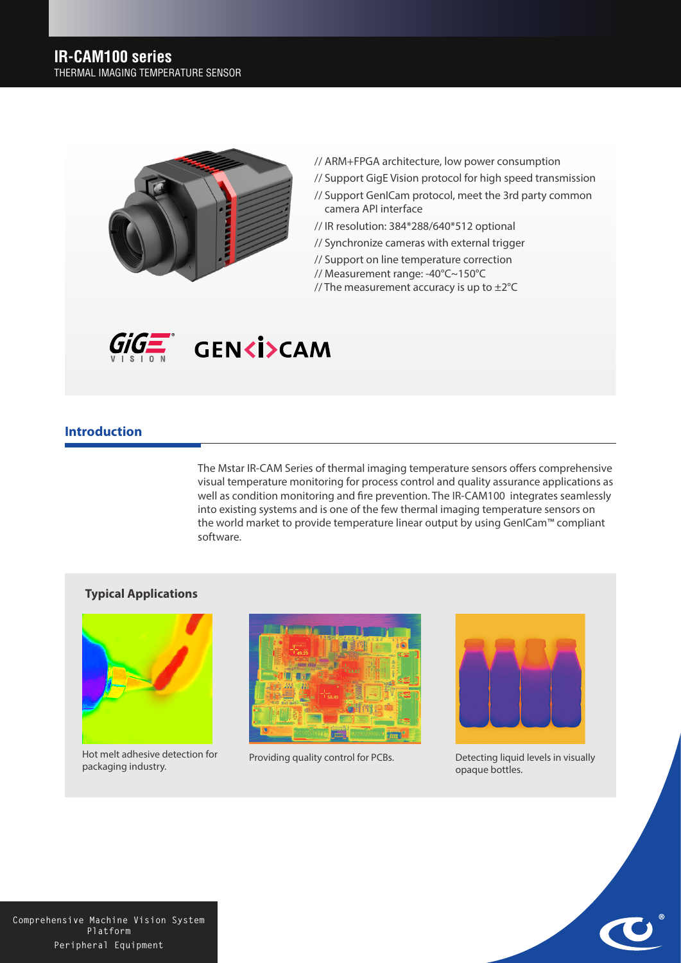

- // ARM+FPGA architecture, low power consumption
- // Support GigE Vision protocol for high speed transmission
- // Support GenICam protocol, meet the 3rd party common camera API interface
- // IR resolution: 384\*288/640\*512 optional
- // Synchronize cameras with external trigger
- // Support on line temperature correction
- // Measurement range: -40°C~150°C
- // The measurement accuracy is up to  $\pm 2^{\circ}$ C



## **Introduction**

The Mstar IR-CAM Series of thermal imaging temperature sensors offers comprehensive visual temperature monitoring for process control and quality assurance applications as well as condition monitoring and fire prevention. The IR-CAM100 integrates seamlessly into existing systems and is one of the few thermal imaging temperature sensors on the world market to provide temperature linear output by using GenICam™ compliant software.

## **Typical Applications**



Hot melt adhesive detection for Providing quality control for PCBs.<br>packaging industry.





Detecting liquid levels in visually opaque bottles.